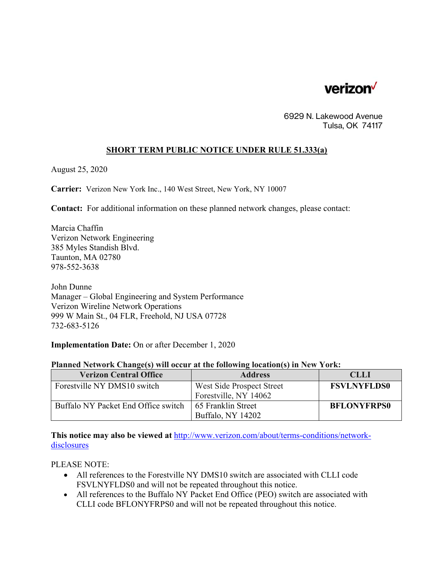

6929 N. Lakewood Avenue Tulsa, OK 74117

## **SHORT TERM PUBLIC NOTICE UNDER RULE 51.333(a)**

August 25, 2020

**Carrier:** Verizon New York Inc., 140 West Street, New York, NY 10007

**Contact:** For additional information on these planned network changes, please contact:

Marcia Chaffin Verizon Network Engineering 385 Myles Standish Blvd. Taunton, MA 02780 978-552-3638

John Dunne Manager – Global Engineering and System Performance Verizon Wireline Network Operations 999 W Main St., 04 FLR, Freehold, NJ USA 07728 732-683-5126

**Implementation Date:** On or after December 1, 2020

## **Planned Network Change(s) will occur at the following location(s) in New York:**

| <b>Verizon Central Office</b>       | <b>Address</b>            | <b>CLLI</b>        |
|-------------------------------------|---------------------------|--------------------|
| Forestyille NY DMS10 switch         | West Side Prospect Street | <b>FSVLNYFLDS0</b> |
|                                     | Forestville, NY 14062     |                    |
| Buffalo NY Packet End Office switch | 65 Franklin Street        | <b>BFLONYFRPS0</b> |
|                                     | Buffalo, NY 14202         |                    |

**This notice may also be viewed at** http://www.verizon.com/about/terms-conditions/networkdisclosures

PLEASE NOTE:

- All references to the Forestville NY DMS10 switch are associated with CLLI code FSVLNYFLDS0 and will not be repeated throughout this notice.
- All references to the Buffalo NY Packet End Office (PEO) switch are associated with CLLI code BFLONYFRPS0 and will not be repeated throughout this notice.